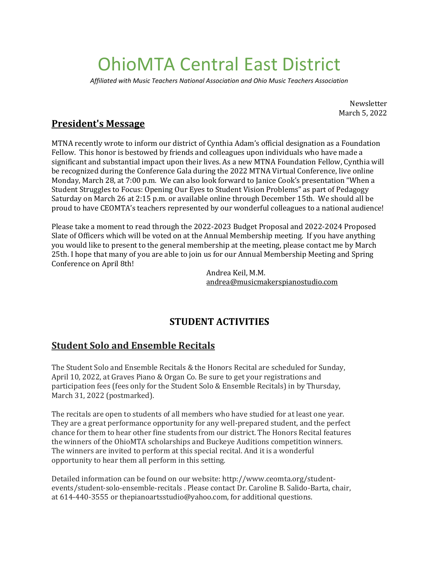# OhioMTA Central East District

*Affiliated with Music Teachers National Association and Ohio Music Teachers Association*

Newsletter March 5, 2022

## **President's Message**

MTNA recently wrote to inform our district of Cynthia Adam's official designation as a Foundation Fellow. This honor is bestowed by friends and colleagues upon individuals who have made a significant and substantial impact upon their lives. As a new MTNA Foundation Fellow, Cynthia will be recognized during the Conference Gala during the 2022 MTNA Virtual Conference, live online Monday, March 28, at 7:00 p.m*.* We can also look forward to Janice Cook's presentation "When a Student Struggles to Focus: Opening Our Eyes to Student Vision Problems" as part of Pedagogy Saturday on March 26 at 2:15 p.m. or available online through December 15th. We should all be proud to have CEOMTA's teachers represented by our wonderful colleagues to a national audience!

Please take a moment to read through the 2022-2023 Budget Proposal and 2022-2024 Proposed Slate of Officers which will be voted on at the Annual Membership meeting. If you have anything you would like to present to the general membership at the meeting, please contact me by March 25th. I hope that many of you are able to join us for our Annual Membership Meeting and Spring Conference on April 8th!

> Andrea Keil, M.M. [andrea@musicmakerspianostudio.com](mailto:andrea@musicmakerspianostudio.com)

## **STUDENT ACTIVITIES**

### **Student Solo and Ensemble Recitals**

The Student Solo and Ensemble Recitals & the Honors Recital are scheduled for Sunday, April 10, 2022, at Graves Piano & Organ Co. Be sure to get your registrations and participation fees (fees only for the Student Solo & Ensemble Recitals) in by Thursday, March 31, 2022 (postmarked).

The recitals are open to students of all members who have studied for at least one year. They are a great performance opportunity for any well-prepared student, and the perfect chance for them to hear other fine students from our district. The Honors Recital features the winners of the OhioMTA scholarships and Buckeye Auditions competition winners. The winners are invited to perform at this special recital. And it is a wonderful opportunity to hear them all perform in this setting.

Detailed information can be found on our website: http://www.ceomta.org/studentevents/student-solo-ensemble-recitals . Please contact Dr. Caroline B. Salido-Barta, chair, at 614-440-3555 or thepianoartsstudio@yahoo.com, for additional questions.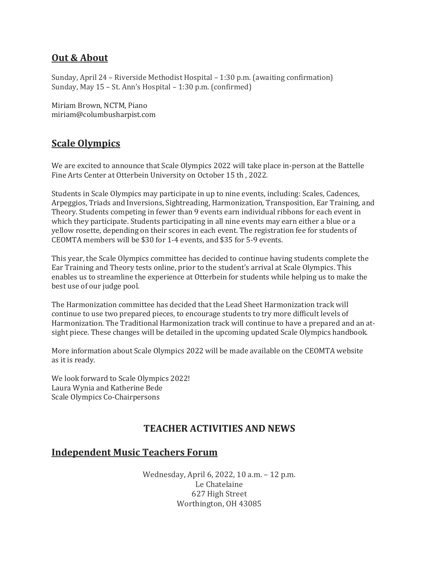#### **Out & About**

Sunday, April 24 – Riverside Methodist Hospital – 1:30 p.m. (awaiting confirmation) Sunday, May 15 – St. Ann's Hospital – 1:30 p.m. (confirmed)

Miriam Brown, NCTM, Piano miriam@columbusharpist.com

## **Scale Olympics**

We are excited to announce that Scale Olympics 2022 will take place in-person at the Battelle Fine Arts Center at Otterbein University on October 15 th , 2022.

Students in Scale Olympics may participate in up to nine events, including: Scales, Cadences, Arpeggios, Triads and Inversions, Sightreading, Harmonization, Transposition, Ear Training, and Theory. Students competing in fewer than 9 events earn individual ribbons for each event in which they participate. Students participating in all nine events may earn either a blue or a yellow rosette, depending on their scores in each event. The registration fee for students of CEOMTA members will be \$30 for 1-4 events, and \$35 for 5-9 events.

This year, the Scale Olympics committee has decided to continue having students complete the Ear Training and Theory tests online, prior to the student's arrival at Scale Olympics. This enables us to streamline the experience at Otterbein for students while helping us to make the best use of our judge pool.

The Harmonization committee has decided that the Lead Sheet Harmonization track will continue to use two prepared pieces, to encourage students to try more difficult levels of Harmonization. The Traditional Harmonization track will continue to have a prepared and an atsight piece. These changes will be detailed in the upcoming updated Scale Olympics handbook.

More information about Scale Olympics 2022 will be made available on the CEOMTA website as it is ready.

We look forward to Scale Olympics 2022! Laura Wynia and Katherine Bede Scale Olympics Co-Chairpersons

## **TEACHER ACTIVITIES AND NEWS**

#### **Independent Music Teachers Forum**

Wednesday, April 6, 2022, 10 a.m. – 12 p.m. Le Chatelaine 627 High Street Worthington, OH 43085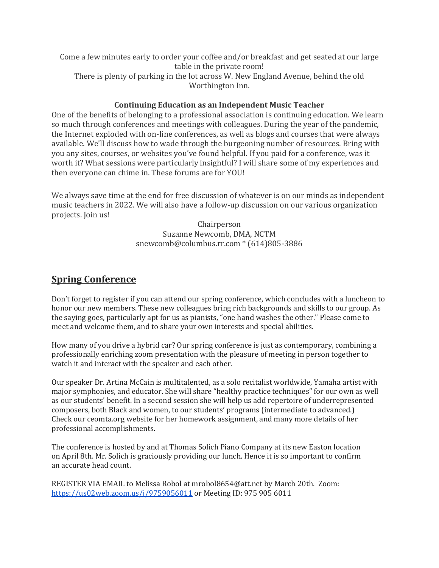Come a few minutes early to order your coffee and/or breakfast and get seated at our large table in the private room! There is plenty of parking in the lot across W. New England Avenue, behind the old Worthington Inn.

#### **Continuing Education as an Independent Music Teacher**

One of the benefits of belonging to a professional association is continuing education. We learn so much through conferences and meetings with colleagues. During the year of the pandemic, the Internet exploded with on-line conferences, as well as blogs and courses that were always available. We'll discuss how to wade through the burgeoning number of resources. Bring with you any sites, courses, or websites you've found helpful. If you paid for a conference, was it worth it? What sessions were particularly insightful? I will share some of my experiences and then everyone can chime in. These forums are for YOU!

We always save time at the end for free discussion of whatever is on our minds as independent music teachers in 2022. We will also have a follow-up discussion on our various organization projects. Join us!

> Chairperson Suzanne Newcomb, DMA, NCTM snewcomb@columbus.rr.com \* (614)805-3886

#### **Spring Conference**

Don't forget to register if you can attend our spring conference, which concludes with a luncheon to honor our new members. These new colleagues bring rich backgrounds and skills to our group. As the saying goes, particularly apt for us as pianists, "one hand washes the other." Please come to meet and welcome them, and to share your own interests and special abilities.

How many of you drive a hybrid car? Our spring conference is just as contemporary, combining a professionally enriching zoom presentation with the pleasure of meeting in person together to watch it and interact with the speaker and each other.

Our speaker Dr. Artina McCain is multitalented, as a solo recitalist worldwide, Yamaha artist with major symphonies, and educator. She will share "healthy practice techniques" for our own as well as our students' benefit. In a second session she will help us add repertoire of underrepresented composers, both Black and women, to our students' programs (intermediate to advanced.) Check our ceomta.org website for her homework assignment, and many more details of her professional accomplishments.

The conference is hosted by and at Thomas Solich Piano Company at its new Easton location on April 8th. Mr. Solich is graciously providing our lunch. Hence it is so important to confirm an accurate head count.

REGISTER VIA EMAIL to Melissa Robol at mrobol8654@att.net by March 20th. Zoom: <https://us02web.zoom.us/j/9759056011> or Meeting ID: 975 905 6011